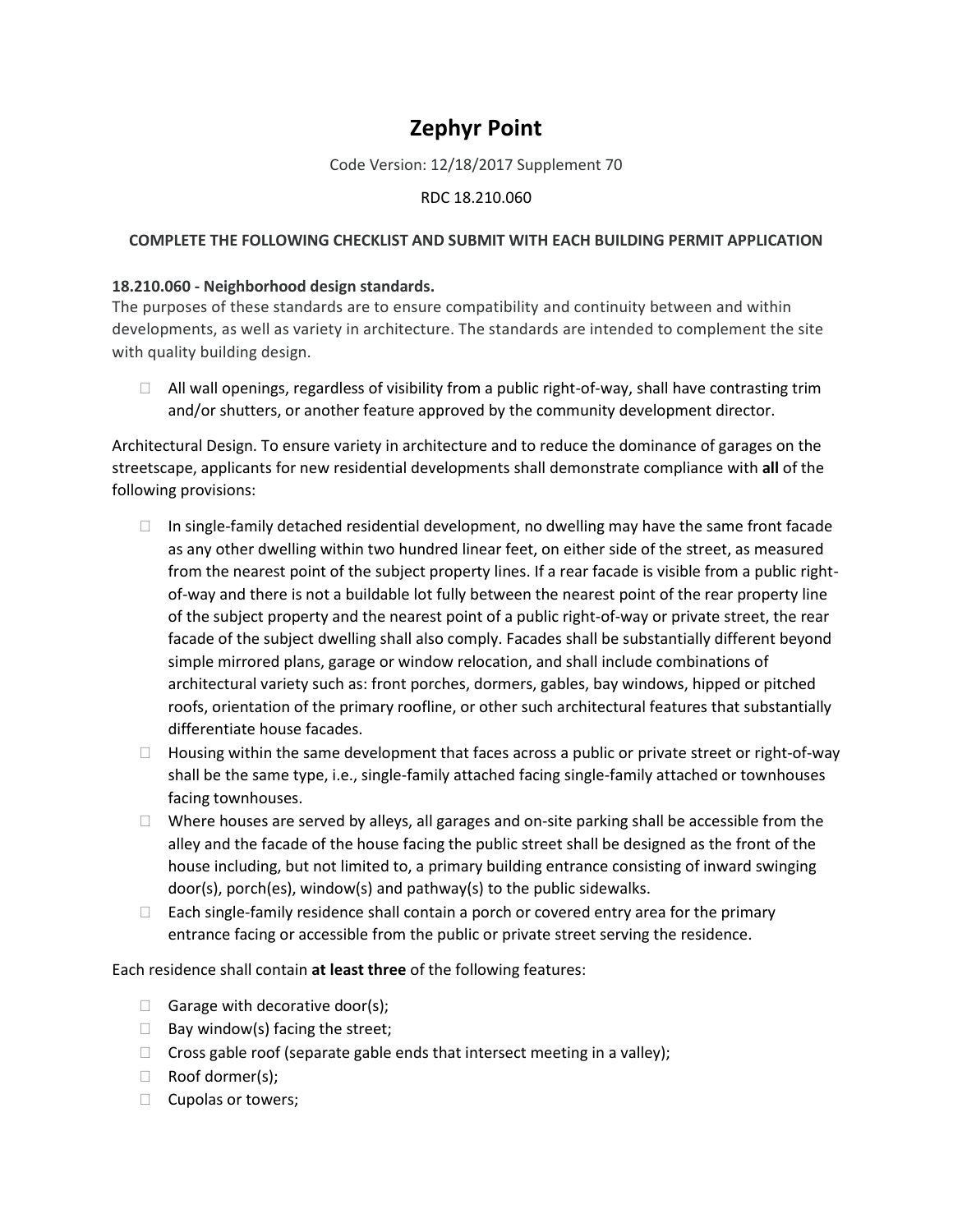## **Zephyr Point**

Code Version: 12/18/2017 Supplement 70

## RDC 18.210.060

## **COMPLETE THE FOLLOWING CHECKLIST AND SUBMIT WITH EACH BUILDING PERMIT APPLICATION**

## **18.210.060 - Neighborhood design standards.**

The purposes of these standards are to ensure compatibility and continuity between and within developments, as well as variety in architecture. The standards are intended to complement the site with quality building design.

 $\Box$  All wall openings, regardless of visibility from a public right-of-way, shall have contrasting trim and/or shutters, or another feature approved by the community development director.

Architectural Design. To ensure variety in architecture and to reduce the dominance of garages on the streetscape, applicants for new residential developments shall demonstrate compliance with **all** of the following provisions:

- $\Box$  In single-family detached residential development, no dwelling may have the same front facade as any other dwelling within two hundred linear feet, on either side of the street, as measured from the nearest point of the subject property lines. If a rear facade is visible from a public rightof-way and there is not a buildable lot fully between the nearest point of the rear property line of the subject property and the nearest point of a public right-of-way or private street, the rear facade of the subject dwelling shall also comply. Facades shall be substantially different beyond simple mirrored plans, garage or window relocation, and shall include combinations of architectural variety such as: front porches, dormers, gables, bay windows, hipped or pitched roofs, orientation of the primary roofline, or other such architectural features that substantially differentiate house facades.
- $\Box$  Housing within the same development that faces across a public or private street or right-of-way shall be the same type, i.e., single-family attached facing single-family attached or townhouses facing townhouses.
- $\Box$  Where houses are served by alleys, all garages and on-site parking shall be accessible from the alley and the facade of the house facing the public street shall be designed as the front of the house including, but not limited to, a primary building entrance consisting of inward swinging door(s), porch(es), window(s) and pathway(s) to the public sidewalks.
- $\Box$  Each single-family residence shall contain a porch or covered entry area for the primary entrance facing or accessible from the public or private street serving the residence.

Each residence shall contain **at least three** of the following features:

- $\Box$  Garage with decorative door(s);
- $\Box$  Bay window(s) facing the street;
- $\Box$  Cross gable roof (separate gable ends that intersect meeting in a valley);
- □ Roof dormer(s);
- $\Box$  Cupolas or towers;